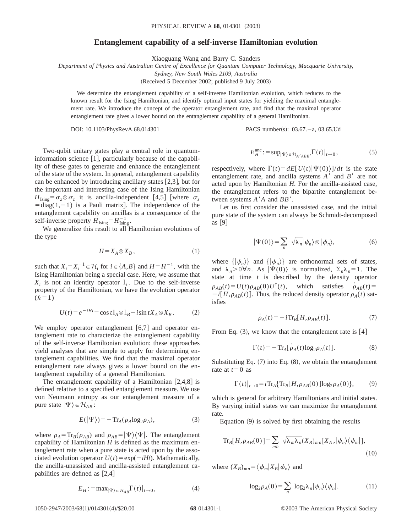## **Entanglement capability of a self-inverse Hamiltonian evolution**

Xiaoguang Wang and Barry C. Sanders

*Department of Physics and Australian Centre of Excellence for Quantum Computer Technology, Macquarie University,*

*Sydney, New South Wales 2109, Australia*

(Received 5 December 2002; published 9 July 2003)

We determine the entanglement capability of a self-inverse Hamiltonian evolution, which reduces to the known result for the Ising Hamiltonian, and identify optimal input states for yielding the maximal entanglement rate. We introduce the concept of the operator entanglement rate, and find that the maximal operator entanglement rate gives a lower bound on the entanglement capability of a general Hamiltonian.

DOI: 10.1103/PhysRevA.68.014301 PACS number(s): 03.67. - a, 03.65.Ud

Two-qubit unitary gates play a central role in quantuminformation science  $[1]$ , particularly because of the capability of these gates to generate and enhance the entanglement of the state of the system. In general, entanglement capability can be enhanced by introducing ancillary states  $[2,3]$ , but for the important and interesting case of the Ising Hamiltonian  $H_{\text{Ising}} = \sigma_z \otimes \sigma_z$  it is ancilla-independent [4,5] [where  $\sigma_z$  $= diag(1,-1)$  is a Pauli matrix]. The independence of the entanglement capability on ancillas is a consequence of the self-inverse property  $H_{\text{Ising}} = H_{\text{Ising}}^{-1}$ .

We generalize this result to all Hamiltonian evolutions of the type

$$
H = X_A \otimes X_B, \tag{1}
$$

such that  $X_i = X_i^{-1} \in \mathcal{H}_i$  for  $i \in \{A, B\}$  and  $H = H^{-1}$ , with the Ising Hamiltonian being a special case. Here, we assume that  $X_i$  is not an identity operator  $\mathbb{I}_i$ . Due to the self-inverse property of the Hamiltonian, we have the evolution operator  $(\hbar=1)$ 

$$
U(t) = e^{-iHt} = \cos t \, 1_A \otimes 1_B - i \sin t X_A \otimes X_B \,. \tag{2}
$$

We employ operator entanglement  $[6,7]$  and operator entanglement rate to characterize the entanglement capability of the self-inverse Hamiltonian evolution: these approaches yield analyses that are simple to apply for determining entanglement capabilities. We find that the maximal operator entanglement rate always gives a lower bound on the entanglement capability of a general Hamiltonian.

The entanglement capability of a Hamiltonian  $[2,4,8]$  is defined relative to a specified entanglement measure. We use von Neumann entropy as our entanglement measure of a pure state  $|\Psi\rangle \in \mathcal{H}_{AB}$ :

$$
E(|\Psi\rangle) = -\operatorname{Tr}_A(\rho_A \log_2 \rho_A),\tag{3}
$$

where  $\rho_A = \text{Tr}_B(\rho_{AB})$  and  $\rho_{AB} = |\Psi\rangle\langle\Psi|$ . The entanglement capability of Hamiltonian *H* is defined as the maximum entanglement rate when a pure state is acted upon by the associated evolution operator  $U(t) = \exp(-iHt)$ . Mathematically, the ancilla-unassisted and ancilla-assisted entanglement capabilities are defined as  $[2,4]$ 

$$
E_H := \max_{|\Psi\rangle \in \mathcal{H}_{AB}} \Gamma(t)|_{t \to 0}, \tag{4}
$$

$$
E_H^{\text{anc}} := \sup_{|\Psi\rangle \in \mathcal{H}_{A'ABB'}} \Gamma(t)|_{t \to 0}, \tag{5}
$$

respectively, where  $\Gamma(t) = dE[U(t)|\Psi(0)\rangle/dt$  is the state entanglement rate, and ancilla systems  $A'$  and  $B'$  are not acted upon by Hamiltonian *H*. For the ancilla-assisted case, the entanglement refers to the bipartite entanglement between systems  $A'A$  and  $BB'$ .

Let us first consider the unassisted case, and the initial pure state of the system can always be Schmidt-decomposed as  $[9]$ 

$$
|\Psi(0)\rangle = \sum_{n} \sqrt{\lambda_n} |\psi_n\rangle \otimes |\phi_n\rangle, \tag{6}
$$

where  $\{|\psi_n\rangle\}$  and  $\{|\phi_n\rangle\}$  are orthonormal sets of states, and  $\lambda_n > 0 \forall n$ . As  $|\Psi(0)\rangle$  is normalized,  $\Sigma_n \lambda_n = 1$ . The state at time *t* is described by the density operator  $\rho_{AB}(t) = U(t)\rho_{AB}(0)U^{\dagger}(t)$ , which satisfies  $\rho_{AB}(t) =$  $-i[H,\rho_{AB}(t)]$ . Thus, the reduced density operator  $\rho_A(t)$  satisfies

$$
\dot{\rho}_A(t) = -i \text{Tr}_B[H, \rho_{AB}(t)]. \tag{7}
$$

From Eq.  $(3)$ , we know that the entanglement rate is [4]

$$
\Gamma(t) = -\operatorname{Tr}_{A}[\dot{\rho}_{A}(t)\log_{2}\rho_{A}(t)].
$$
\n(8)

Substituting Eq.  $(7)$  into Eq.  $(8)$ , we obtain the entanglement rate at  $t=0$  as

$$
\Gamma(t)|_{t\to 0} = i \operatorname{Tr}_A \{ \operatorname{Tr}_B [H, \rho_{AB}(0)] \log_2 \rho_A(0) \},\tag{9}
$$

which is general for arbitrary Hamiltonians and initial states. By varying initial states we can maximize the entanglement rate.

Equation  $(9)$  is solved by first obtaining the results

$$
\operatorname{Tr}_{B}[H,\rho_{AB}(0)]=\sum_{mn} \sqrt{\lambda_{m}\lambda_{n}}(X_{B})_{mn}[X_{A},|\psi_{n}\rangle\langle\psi_{m}|],
$$
\n(10)

where  $(X_B)_{mn} = \langle \phi_m | X_B | \phi_n \rangle$  and

$$
\log_2 \rho_A(0) = \sum_n \log_2 \lambda_n |\psi_n\rangle \langle \psi_n|.
$$
 (11)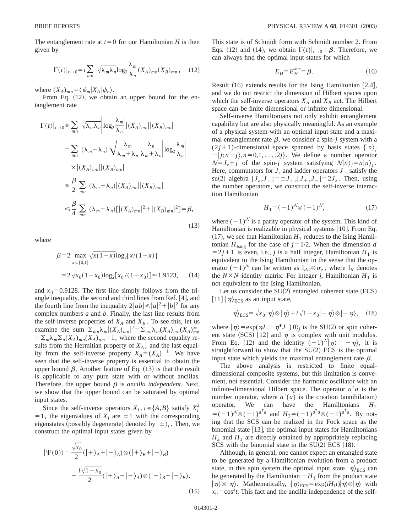The entanglement rate at  $t=0$  for our Hamiltonian *H* is then given by

$$
\Gamma(t)|_{t\to 0} = i \sum_{mn} \sqrt{\lambda_m \lambda_n} \log_2 \frac{\lambda_m}{\lambda_n} (X_A)_{mn} (X_B)_{mn}, \quad (12)
$$

where  $(X_A)_{mn} = \langle \psi_m | X_A | \psi_n \rangle$ .

From Eq.  $(12)$ , we obtain an upper bound for the entanglement rate

$$
\Gamma(t)|_{t\to 0} \leq \sum_{mn} \sqrt{\lambda_m \lambda_n} \left| \log_2 \frac{\lambda_m}{\lambda_n} \right| |(X_A)_{mn}| |(X_B)_{mn}|
$$
  
\n
$$
= \sum_{mn} (\lambda_m + \lambda_n) \sqrt{\frac{\lambda_m}{\lambda_m + \lambda_n}} \frac{\lambda_n}{\lambda_m + \lambda_n} \left| \log_2 \frac{\lambda_m}{\lambda_n} \right|
$$
  
\n
$$
\times |(X_A)_{mn}| |(X_B)_{mn}|
$$
  
\n
$$
\leq \frac{\beta}{2} \sum_{mn} (\lambda_m + \lambda_n) |(X_A)_{mn}| |(X_B)_{mn}|
$$
  
\n
$$
\leq \frac{\beta}{4} \sum_{mn} (\lambda_m + \lambda_n) [|(X_A)_{mn}|^2 + |(X_B)_{mn}|^2] = \beta,
$$
  
\n(13)

where

$$
\beta = 2 \max_{x \in [0,1]} \sqrt{x(1-x)} \log_2[x/(1-x)]
$$
  
=  $2\sqrt{x_0(1-x_0)} \log_2[x_0/(1-x_0)] \approx 1.9123,$  (14)

and  $x_0$ =0.9128. The first line simply follows from the triangle inequality, the second and third lines from Ref. [4], and the fourth line from the inequality  $2|ab| \leq |a|^2 + |b|^2$  for any complex numbers *a* and *b*. Finally, the last line results from the self-inverse properties of  $X_A$  and  $X_B$ . To see this, let us examine the sum  $\sum_{mn} \lambda_m |(X_A)_{mn}|^2 = \sum_{mn} \lambda_m (X_A)_{mn} (X_A)^*_{mn}$  $=\sum_{m} \lambda_m \sum_{n} (X_A)_{mn}(X_A)_{nm} = 1$ , where the second equality results from the Hermitian property of  $X_A$ , and the last equality from the self-inverse property  $X_A = (X_A)^{-1}$ . We have seen that the self-inverse property is essential to obtain the upper bound  $\beta$ . Another feature of Eq. (13) is that the result is applicable to any pure state with or without ancillas. Therefore, the upper bound  $\beta$  is *ancilla independent*. Next, we show that the upper bound can be saturated by optimal input states.

Since the self-inverse operators  $X_i$ ,  $i \in \{A, B\}$  satisfy  $X_i^2$  $=1$ , the eigenvalues of  $X_i$  are  $\pm 1$  with the corresponding eigenstates (possibly degenerate) denoted by  $|\pm\rangle$ <sub>*i*</sub>. Then, we construct the optimal input states given by

$$
|\Psi(0)\rangle = \frac{\sqrt{x_0}}{2} (|+\rangle_A + |-\rangle_A) \otimes (|+\rangle_B + |-\rangle_B)
$$
  
+ 
$$
\frac{i\sqrt{1-x_0}}{2} (|+\rangle_A - |-\rangle_A) \otimes (|+\rangle_B - |-\rangle_B).
$$
 (15)

This state is of Schmidt form with Schmidt number 2. From Eqs. (12) and (14), we obtain  $\Gamma(t)|_{t\to 0} = \beta$ . Therefore, we can always find the optimal input states for which

$$
E_H = E_H^{\text{anc}} = \beta.
$$
 (16)

Result  $(16)$  extends results for the Ising Hamiltonian [2,4], and we do not restrict the dimension of Hilbert spaces upon which the self-inverse operators  $X_A$  and  $X_B$  act. The Hilbert space can be finite dimensional or infinite dimensional.

Self-inverse Hamiltonians not only exhibit entanglement capability but are also physically meaningful. As an example of a physical system with an optimal input state and a maximal entanglement rate  $\beta$ , we consider a spin-*j* system with a  $(2 j + 1)$ -dimensional space spanned by basis states  $\{|n\rangle_i$  $\equiv |j; n-j\rangle, n=0,1, \ldots, 2j\}.$  We define a number operator  $\mathcal{N}=J_z+j$  of the spin-*j* system satisfying  $\mathcal{N}|n\rangle_i=n|n\rangle_i$ . Here, commutators for  $J<sub>z</sub>$  and ladder operators  $J<sub>+</sub>$  satisfy the su(2) algebra  $[J_7, J_{\pm}] = \pm J_{\pm}$ ,  $[J_+, J_-] = 2J_7$ . Then, using the number operators, we construct the self-inverse interaction Hamiltonian

$$
H_1 = (-1)^{\mathcal{N}} \otimes (-1)^{\mathcal{N}},\tag{17}
$$

where  $(-1)^N$  is a parity operator of the system. This kind of Hamiltonian is realizable in physical systems [10]. From Eq.  $(17)$ , we see that Hamiltonian  $H_1$  reduces to the Ising Hamiltonian  $H_{\text{Ising}}$  for the case of  $j=1/2$ . When the dimension *d*  $=2j+1$  is even, i.e., *j* is a half integer, Hamiltonian  $H_1$  is equivalent to the Ising Hamiltonian in the sense that the operator  $(-1)^N$  can be written as  $l_{d/2} \otimes \sigma_z$ , where  $l_N$  denotes the  $N \times N$  identity matrix. For integer *j*, Hamiltonian  $H_1$  is not equivalent to the Ising Hamiltonian.

Let us consider the  $SU(2)$  entangled coherent state  $(ECS)$ [11]  $|\eta\rangle$ <sub>ECS</sub> as an input state,

$$
|\eta\rangle_{\text{ECS}} = \sqrt{x_0}|\eta\rangle \otimes |\eta\rangle + i\sqrt{1-x_0} - \eta\rangle \otimes |\eta\rangle, \quad (18)
$$

where  $|\eta\rangle = \exp(\eta J_+ - \eta^* J_-)|0\rangle_i$  is the SU(2) or spin coherent state (SCS) [12] and  $\eta$  is complex with unit modulus. From Eq. (12) and the identity  $(-1)^{\mathcal{N}}|\eta\rangle = |-\eta\rangle$ , it is straightforward to show that the  $SU(2)$  ECS is the optimal input state which yields the maximal entanglement rate  $\beta$ .

The above analysis is restricted to finite equaldimensional composite systems, but this limitation is convenient, not essential. Consider the harmonic oscillator with an infinite-dimensional Hilbert space. The operator  $a^{\dagger}a$  is the number operator, where  $a^{\dagger}(a)$  is the creation (annihilation) operator. We can have the Hamiltonians  $H_2$  $= (-1)^{\sqrt{6}} \otimes (-1)^{a^{\top}a}$  and  $H_3 = (-1)^{a^{\top}a} \otimes (-1)^{a^{\top}a}$ . By noting that the SCS can be realized in the Fock space as the binomial state  $[13]$ , the optimal input states for Hamiltonians  $H_2$  and  $H_3$  are directly obtained by appropriately replacing SCS with the binomial state in the  $SU(2)$  ECS  $(18)$ .

Although, in general, one cannot expect an entangled state to be generated by a Hamiltonian evolution from a product state, in this spin system the optimal input state  $|\eta\rangle_{\text{ECS}}$  can be generated by the Hamiltonian  $-H_1$  from the product state  $|\eta\rangle\otimes |\eta\rangle$ . Mathematically,  $|\eta\rangle_{\rm ECS}=\exp(iH_1t)|\eta\rangle\otimes |\eta\rangle$  with  $x_0 = \cos^2 t$ . This fact and the ancilla independence of the self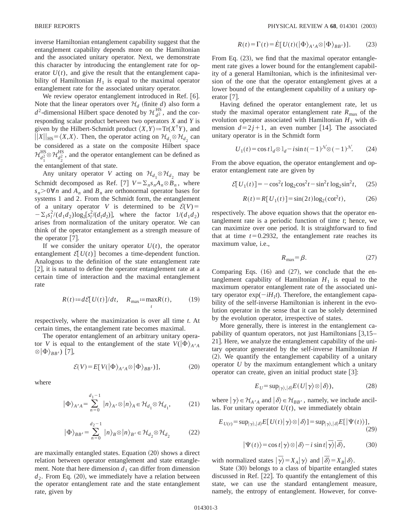inverse Hamiltonian entanglement capability suggest that the entanglement capability depends more on the Hamiltonian and the associated unitary operator. Next, we demonstrate this character by introducing the entanglement rate for operator  $U(t)$ , and give the result that the entanglement capability of Hamiltonian  $H_1$  is equal to the maximal operator entanglement rate for the associated unitary operator.

We review operator entanglement introduced in Ref. [6]. Note that the linear operators over  $\mathcal{H}_d$  (finite *d*) also form a  $d^2$ -dimensional Hilbert space denoted by  $\mathcal{H}_{d^2}^{\text{HS}}$ , and the corresponding scalar product between two operators *X* and *Y* is given by the Hilbert-Schmidt product  $\langle X, Y \rangle := \text{Tr}(X^{\dagger}Y)$ , and  $||X||_{HS} = \langle X, X \rangle$ . Then, the operator acting on  $\mathcal{H}_{d_1} \otimes \mathcal{H}_{d_2}$  can be considered as a state on the composite Hilbert space  $\mathcal{H}_{d_1^2}^{HS} \otimes \mathcal{H}_{d_2^2}^{HS}$ , and the operator entanglement can be defined as the entanglement of that state.

Any unitary operator *V* acting on  $\mathcal{H}_{d_1} \otimes \mathcal{H}_{d_2}$  may be Schmidt decomposed as Ref. [7]  $V = \sum_{n} s_n A_n \otimes B_n$ , where  $s_n > 0 \forall n$  and  $A_n$  and  $B_n$  are orthonormal operator bases for systems 1 and 2. From the Schmidt form, the entanglement of a unitary operator *V* is determined to be  $\mathcal{E}(V)$  =  $-\sum_{l} s_l^2/(d_1d_2)\log_2[s_l^2/(d_1d_2)],$  where the factor  $1/(d_1d_2)$ arises from normalization of the unitary operator. We can think of the operator entanglement as a strength measure of the operator  $\lceil 7 \rceil$ .

If we consider the unitary operator  $U(t)$ , the operator entanglement  $\mathcal{E}[U(t)]$  becomes a time-dependent function. Analogous to the definition of the state entanglement rate  $[2]$ , it is natural to define the operator entanglement rate at a certain time of interaction and the maximal entanglement rate

$$
R(t) := d\mathcal{E}[U(t)]/dt, \quad R_{\text{max}} := \max_{t} R(t), \quad (19)
$$

respectively, where the maximization is over all time *t*. At certain times, the entanglement rate becomes maximal.

The operator entanglement of an arbitrary unitary operator *V* is equal to the entanglement of the state  $V(\vert \Phi \rangle_{A^{\prime}A}$  $\otimes |\Phi\rangle_{BB'}$ ) [7],

$$
\mathcal{E}(V) = E[V(|\Phi\rangle_{A'A} \otimes |\Phi\rangle_{BB'})],
$$
 (20)

where

$$
|\Phi\rangle_{A'A} = \sum_{n=0}^{d_1 - 1} |n\rangle_{A'} \otimes |n\rangle_A \in \mathcal{H}_{d_1} \otimes \mathcal{H}_{d_1},
$$
 (21)

$$
|\Phi\rangle_{BB'} = \sum_{n=0}^{d_2 - 1} |n\rangle_B \otimes |n\rangle_{B'} \in \mathcal{H}_{d_2} \otimes \mathcal{H}_{d_2}
$$
 (22)

are maximally entangled states. Equation  $(20)$  shows a direct relation between operator entanglement and state entanglement. Note that here dimension  $d_1$  can differ from dimension  $d_2$ . From Eq.  $(20)$ , we immediately have a relation between the operator entanglement rate and the state entanglement rate, given by

$$
R(t) = \Gamma(t) = \dot{E}[U(t)(\vert \Phi \rangle_{A'A} \otimes \vert \Phi \rangle_{BB'})]. \tag{23}
$$

From Eq.  $(23)$ , we find that the maximal operator entanglement rate gives a lower bound for the entanglement capability of a general Hamiltonian, which is the infinitesimal version of the one that the operator entanglement gives at a lower bound of the entanglement capability of a unitary operator  $|7|$ .

Having defined the operator entanglement rate, let us study the maximal operator entanglement rate  $R_{\text{max}}$  of the evolution operator associated with Hamiltonian  $H_1$  with dimension  $d=2j+1$ , an even number [14]. The associated unitary operator is in the Schmidt form

$$
U_1(t) = \cos t \, I_d \otimes I_d - i \sin t (-1)^{\mathcal{N}} \otimes (-1)^{\mathcal{N}}.
$$
 (24)

From the above equation, the operator entanglement and operator entanglement rate are given by

$$
\mathcal{E}[U_1(t)] = -\cos^2 t \log_2 \cos^2 t - \sin^2 t \log_2 \sin^2 t,\qquad(25)
$$

$$
R(t) = R[U_1(t)] = \sin(2t)\log_2(\cot^2 t),
$$
 (26)

respectively. The above equation shows that the operator entanglement rate is a periodic function of time *t*; hence, we can maximize over one period. It is straightforward to find that at time  $t=0.2932$ , the entanglement rate reaches its maximum value, i.e.,

$$
R_{\text{max}} = \beta. \tag{27}
$$

Comparing Eqs.  $(16)$  and  $(27)$ , we conclude that the entanglement capability of Hamiltonian  $H_1$  is equal to the maximum operator entanglement rate of the associated unitary operator  $exp(-iH_1t)$ . Therefore, the entanglement capability of the self-inverse Hamiltonian is inherent in the evolution operator in the sense that it can be solely determined by the evolution operator, irrespective of states.

More generally, there is interest in the entanglement capability of quantum operators, not just Hamiltonians  $\left[3,15-\right]$ 21]. Here, we analyze the entanglement capability of the unitary operator generated by the self-inverse Hamiltonian *H*  $(2)$ . We quantify the entanglement capability of a unitary operator *U* by the maximum entanglement which a unitary operator can create, given an initial product state  $[3]$ :

$$
E_U = \sup_{|\gamma\rangle, |\delta\rangle} E(U|\gamma\rangle \otimes |\delta\rangle), \tag{28}
$$

where  $|\gamma\rangle \in \mathcal{H}_{A'A}$  and  $|\delta\rangle \in \mathcal{H}_{BB'}$ , namely, we include ancillas. For unitary operator  $U(t)$ , we immediately obtain

$$
E_{U(t)} = \sup_{|\gamma\rangle, |\delta\rangle} E[U(t)|\gamma\rangle \otimes |\delta\rangle] = \sup_{|\gamma\rangle, |\delta\rangle} E[\Psi(t)\rangle],
$$
\n(29)

$$
|\Psi(t)\rangle = \cos t|\gamma\rangle \otimes |\delta\rangle - i\sin t|\overline{\gamma}\rangle|\overline{\delta}\rangle, \tag{30}
$$

with normalized states  $|\overline{\gamma}\rangle = X_A |\gamma\rangle$  and  $|\overline{\delta}\rangle = X_B |\delta\rangle$ .

State (30) belongs to a class of bipartite entangled states discussed in Ref.  $[22]$ . To quantify the entanglement of this state, we can use the standard entanglement measure, namely, the entropy of entanglement. However, for conve